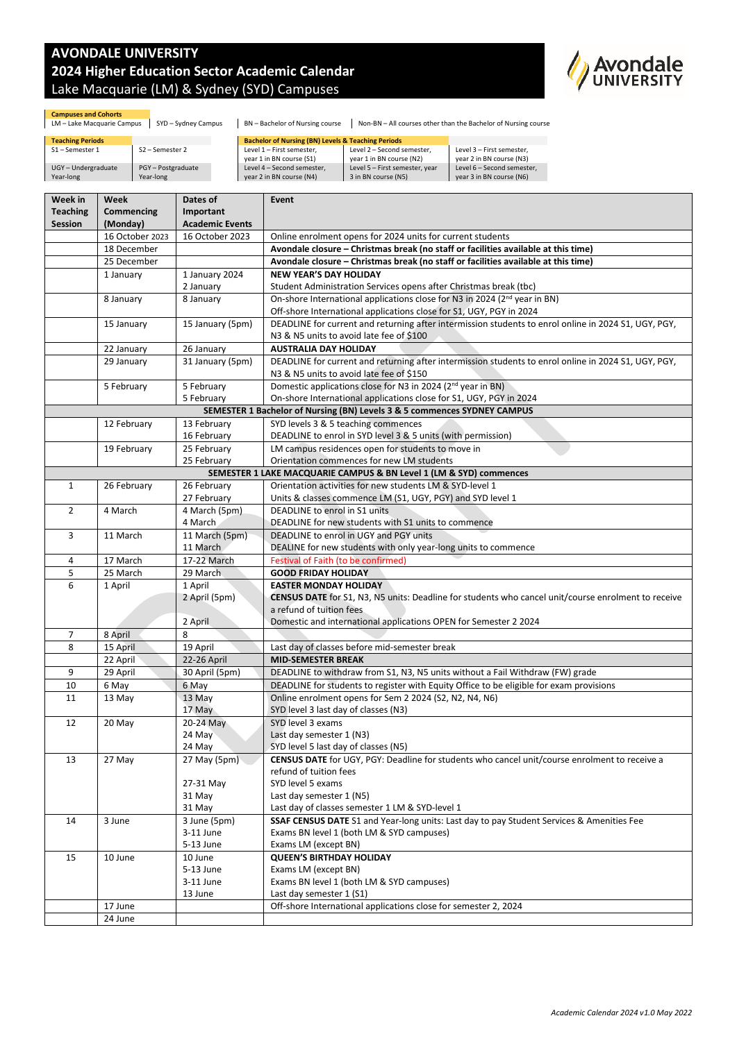## **AVONDALE UNIVERSITY 2024 Higher Education Sector Academic Calendar** Lake Macquarie (LM) & Sydney (SYD) Campuses

**Dates of** 



| <b>Campuses and Cohorts</b><br>LM - Lake Macquarie Campus | SYD - Sydney Campus           | BN - Bachelor of Nursing course                               |                                                        | Non-BN - All courses other than the Bachelor of Nursing course |
|-----------------------------------------------------------|-------------------------------|---------------------------------------------------------------|--------------------------------------------------------|----------------------------------------------------------------|
| <b>Teaching Periods</b>                                   |                               | <b>Bachelor of Nursing (BN) Levels &amp; Teaching Periods</b> |                                                        |                                                                |
| S1-Semester 1                                             | $S2 -$ Semester 2             | Level 1 - First semester.<br>year 1 in BN course (S1)         | Level 2 - Second semester,<br>year 1 in BN course (N2) | Level 3 - First semester.<br>year 2 in BN course (N3)          |
| UGY-Undergraduate<br>Year-long                            | PGY-Postgraduate<br>Year-long | Level 4 - Second semester.<br>year 2 in BN course (N4)        | Level 5 - First semester, year<br>3 in BN course (N5)  | Level 6 - Second semester.<br>year 3 in BN course (N6)         |

| Week in         | Week            | Dates of               | Event                                                                                                      |  |  |
|-----------------|-----------------|------------------------|------------------------------------------------------------------------------------------------------------|--|--|
| <b>Teaching</b> | Commencing      | Important              |                                                                                                            |  |  |
| Session         | (Monday)        | <b>Academic Events</b> |                                                                                                            |  |  |
|                 | 16 October 2023 | 16 October 2023        | Online enrolment opens for 2024 units for current students                                                 |  |  |
|                 | 18 December     |                        | Avondale closure - Christmas break (no staff or facilities available at this time)                         |  |  |
|                 | 25 December     |                        | Avondale closure - Christmas break (no staff or facilities available at this time)                         |  |  |
|                 | 1 January       | 1 January 2024         | <b>NEW YEAR'S DAY HOLIDAY</b>                                                                              |  |  |
|                 |                 | 2 January              | Student Administration Services opens after Christmas break (tbc)                                          |  |  |
|                 | 8 January       | 8 January              | On-shore International applications close for N3 in 2024 (2 <sup>nd</sup> year in BN)                      |  |  |
|                 |                 |                        | Off-shore International applications close for S1, UGY, PGY in 2024                                        |  |  |
|                 | 15 January      | 15 January (5pm)       | DEADLINE for current and returning after intermission students to enrol online in 2024 S1, UGY, PGY,       |  |  |
|                 |                 |                        | N3 & N5 units to avoid late fee of \$100                                                                   |  |  |
|                 | 22 January      | 26 January             | <b>AUSTRALIA DAY HOLIDAY</b>                                                                               |  |  |
|                 | 29 January      | 31 January (5pm)       | DEADLINE for current and returning after intermission students to enrol online in 2024 S1, UGY, PGY,       |  |  |
|                 |                 |                        | N3 & N5 units to avoid late fee of \$150                                                                   |  |  |
|                 | 5 February      | 5 February             | Domestic applications close for N3 in 2024 (2 <sup>nd</sup> year in BN)                                    |  |  |
|                 |                 | 5 February             | On-shore International applications close for S1, UGY, PGY in 2024                                         |  |  |
|                 |                 |                        | SEMESTER 1 Bachelor of Nursing (BN) Levels 3 & 5 commences SYDNEY CAMPUS                                   |  |  |
|                 | 12 February     | 13 February            | SYD levels 3 & 5 teaching commences                                                                        |  |  |
|                 |                 | 16 February            | DEADLINE to enrol in SYD level 3 & 5 units (with permission)                                               |  |  |
|                 | 19 February     | 25 February            | LM campus residences open for students to move in                                                          |  |  |
|                 |                 | 25 February            | Orientation commences for new LM students                                                                  |  |  |
|                 |                 |                        | SEMESTER 1 LAKE MACQUARIE CAMPUS & BN Level 1 (LM & SYD) commences                                         |  |  |
| $\mathbf{1}$    | 26 February     | 26 February            | Orientation activities for new students LM & SYD-level 1                                                   |  |  |
|                 |                 | 27 February            | Units & classes commence LM (S1, UGY, PGY) and SYD level 1                                                 |  |  |
| $\overline{2}$  | 4 March         | 4 March (5pm)          | DEADLINE to enrol in S1 units                                                                              |  |  |
|                 |                 | 4 March                | DEADLINE for new students with S1 units to commence                                                        |  |  |
| 3               | 11 March        | 11 March (5pm)         | DEADLINE to enrol in UGY and PGY units                                                                     |  |  |
|                 |                 | 11 March               | DEALINE for new students with only year-long units to commence                                             |  |  |
| $\overline{4}$  | 17 March        | 17-22 March            | Festival of Faith (to be confirmed)                                                                        |  |  |
| 5               | 25 March        | 29 March               | <b>GOOD FRIDAY HOLIDAY</b>                                                                                 |  |  |
| 6               | 1 April         | 1 April                | <b>EASTER MONDAY HOLIDAY</b>                                                                               |  |  |
|                 |                 | 2 April (5pm)          | <b>CENSUS DATE</b> for S1, N3, N5 units: Deadline for students who cancel unit/course enrolment to receive |  |  |
|                 |                 |                        | a refund of tuition fees                                                                                   |  |  |
|                 |                 | 2 April                | Domestic and international applications OPEN for Semester 2 2024                                           |  |  |
| $\overline{7}$  | 8 April         | 8                      |                                                                                                            |  |  |
| 8               | 15 April        | 19 April               | Last day of classes before mid-semester break                                                              |  |  |
|                 | 22 April        | 22-26 April            | <b>MID-SEMESTER BREAK</b>                                                                                  |  |  |
| 9               | 29 April        | 30 April (5pm)         | DEADLINE to withdraw from S1, N3, N5 units without a Fail Withdraw (FW) grade                              |  |  |
| 10              | 6 May           | 6 May                  | DEADLINE for students to register with Equity Office to be eligible for exam provisions                    |  |  |
| 11              | 13 May          | 13 May                 | Online enrolment opens for Sem 2 2024 (S2, N2, N4, N6)                                                     |  |  |
|                 |                 | 17 May                 | SYD level 3 last day of classes (N3)                                                                       |  |  |
| 12              | 20 May          | 20-24 May              | SYD level 3 exams                                                                                          |  |  |
|                 |                 | 24 May                 | Last day semester 1 (N3)                                                                                   |  |  |
|                 |                 | 24 May                 | SYD level 5 last day of classes (N5)                                                                       |  |  |
| 13              | 27 May          | 27 May (5pm)           | CENSUS DATE for UGY, PGY: Deadline for students who cancel unit/course enrolment to receive a              |  |  |
|                 |                 |                        | refund of tuition fees                                                                                     |  |  |
|                 |                 | 27-31 May              | SYD level 5 exams                                                                                          |  |  |
|                 |                 | 31 May                 | Last day semester 1 (N5)                                                                                   |  |  |
|                 |                 | 31 May                 | Last day of classes semester 1 LM & SYD-level 1                                                            |  |  |
| 14              | 3 June          | 3 June (5pm)           | SSAF CENSUS DATE S1 and Year-long units: Last day to pay Student Services & Amenities Fee                  |  |  |
|                 |                 | 3-11 June              | Exams BN level 1 (both LM & SYD campuses)                                                                  |  |  |
|                 |                 | 5-13 June              | Exams LM (except BN)                                                                                       |  |  |
| 15              | 10 June         | 10 June                | <b>QUEEN'S BIRTHDAY HOLIDAY</b>                                                                            |  |  |
|                 |                 | 5-13 June              | Exams LM (except BN)                                                                                       |  |  |
|                 |                 | 3-11 June              | Exams BN level 1 (both LM & SYD campuses)                                                                  |  |  |
|                 |                 | 13 June                | Last day semester 1 (S1)                                                                                   |  |  |
|                 | 17 June         |                        | Off-shore International applications close for semester 2, 2024                                            |  |  |
|                 | 24 June         |                        |                                                                                                            |  |  |